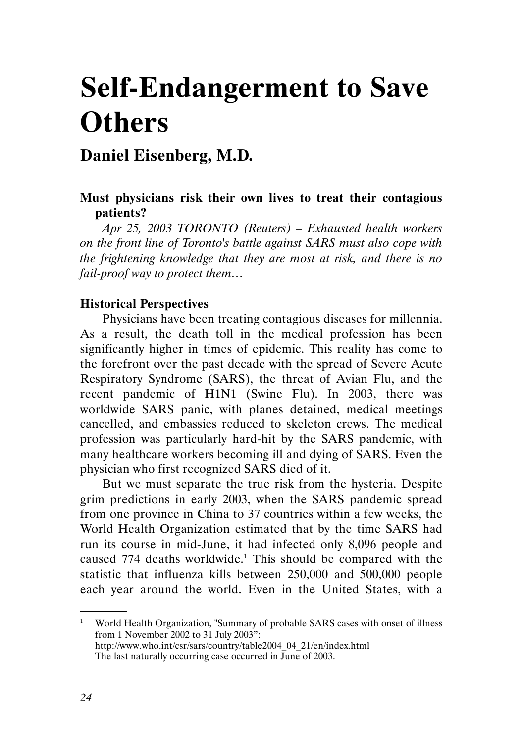# Self-Endangerment to Save **Others**

# Daniel Eisenberg, M.D.

## Must physicians risk their own lives to treat their contagious patients?

Apr 25, 2003 TORONTO (Reuters) – Exhausted health workers on the front line of Toronto's battle against SARS must also cope with the frightening knowledge that they are most at risk, and there is no fail-proof way to protect them…

#### Historical Perspectives

Physicians have been treating contagious diseases for millennia. As a result, the death toll in the medical profession has been significantly higher in times of epidemic. This reality has come to the forefront over the past decade with the spread of Severe Acute Respiratory Syndrome (SARS), the threat of Avian Flu, and the recent pandemic of H1N1 (Swine Flu). In 2003, there was worldwide SARS panic, with planes detained, medical meetings cancelled, and embassies reduced to skeleton crews. The medical profession was particularly hard-hit by the SARS pandemic, with many healthcare workers becoming ill and dying of SARS. Even the physician who first recognized SARS died of it.

But we must separate the true risk from the hysteria. Despite grim predictions in early 2003, when the SARS pandemic spread from one province in China to 37 countries within a few weeks, the World Health Organization estimated that by the time SARS had run its course in mid-June, it had infected only 8,096 people and caused 774 deaths worldwide.<sup>1</sup> This should be compared with the statistic that influenza kills between 250,000 and 500,000 people each year around the world. Even in the United States, with a

<sup>&</sup>lt;sup>1</sup> World Health Organization, "Summary of probable SARS cases with onset of illness from 1 November 2002 to 31 July 2003": http://www.who.int/csr/sars/country/table2004\_04\_21/en/index.html The last naturally occurring case occurred in June of 2003.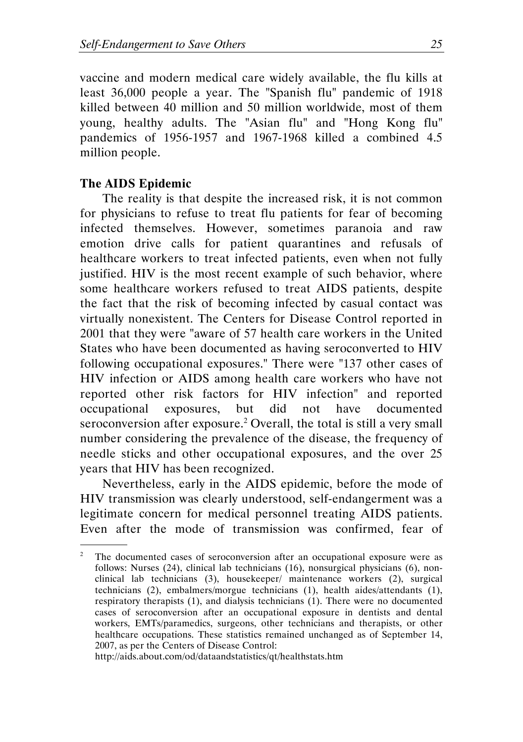vaccine and modern medical care widely available, the flu kills at least 36,000 people a year. The "Spanish flu" pandemic of 1918 killed between 40 million and 50 million worldwide, most of them young, healthy adults. The "Asian flu" and "Hong Kong flu" pandemics of 1956-1957 and 1967-1968 killed a combined 4.5 million people.

#### The AIDS Epidemic

.

The reality is that despite the increased risk, it is not common for physicians to refuse to treat flu patients for fear of becoming infected themselves. However, sometimes paranoia and raw emotion drive calls for patient quarantines and refusals of healthcare workers to treat infected patients, even when not fully justified. HIV is the most recent example of such behavior, where some healthcare workers refused to treat AIDS patients, despite the fact that the risk of becoming infected by casual contact was virtually nonexistent. The Centers for Disease Control reported in 2001 that they were "aware of 57 health care workers in the United States who have been documented as having seroconverted to HIV following occupational exposures." There were "137 other cases of HIV infection or AIDS among health care workers who have not reported other risk factors for HIV infection" and reported occupational exposures, but did not have documented seroconversion after exposure.<sup>2</sup> Overall, the total is still a very small number considering the prevalence of the disease, the frequency of needle sticks and other occupational exposures, and the over 25 years that HIV has been recognized.

Nevertheless, early in the AIDS epidemic, before the mode of HIV transmission was clearly understood, self-endangerment was a legitimate concern for medical personnel treating AIDS patients. Even after the mode of transmission was confirmed, fear of

http://aids.about.com/od/dataandstatistics/qt/healthstats.htm

<sup>2</sup> The documented cases of seroconversion after an occupational exposure were as follows: Nurses (24), clinical lab technicians (16), nonsurgical physicians (6), nonclinical lab technicians (3), housekeeper/ maintenance workers (2), surgical technicians (2), embalmers/morgue technicians (1), health aides/attendants (1), respiratory therapists (1), and dialysis technicians (1). There were no documented cases of seroconversion after an occupational exposure in dentists and dental workers, EMTs/paramedics, surgeons, other technicians and therapists, or other healthcare occupations. These statistics remained unchanged as of September 14, 2007, as per the Centers of Disease Control: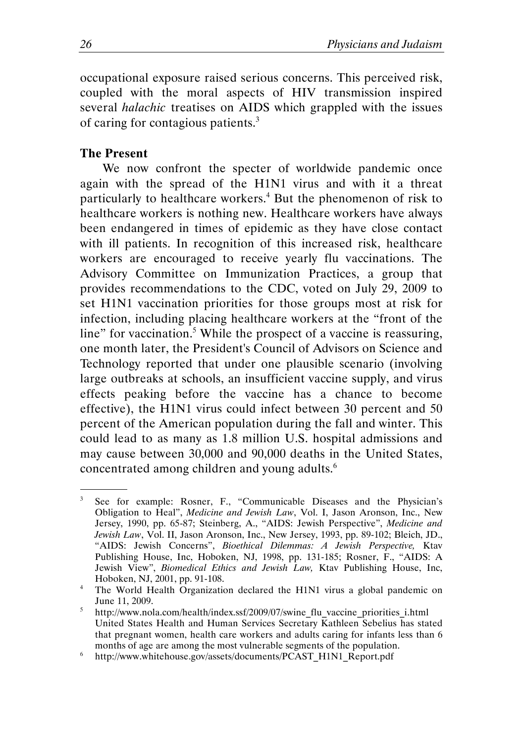occupational exposure raised serious concerns. This perceived risk, coupled with the moral aspects of HIV transmission inspired several halachic treatises on AIDS which grappled with the issues of caring for contagious patients.<sup>3</sup>

#### The Present

.

We now confront the specter of worldwide pandemic once again with the spread of the H1N1 virus and with it a threat particularly to healthcare workers.<sup>4</sup> But the phenomenon of risk to healthcare workers is nothing new. Healthcare workers have always been endangered in times of epidemic as they have close contact with ill patients. In recognition of this increased risk, healthcare workers are encouraged to receive yearly flu vaccinations. The Advisory Committee on Immunization Practices, a group that provides recommendations to the CDC, voted on July 29, 2009 to set H1N1 vaccination priorities for those groups most at risk for infection, including placing healthcare workers at the "front of the line" for vaccination.<sup>5</sup> While the prospect of a vaccine is reassuring, one month later, the President's Council of Advisors on Science and Technology reported that under one plausible scenario (involving large outbreaks at schools, an insufficient vaccine supply, and virus effects peaking before the vaccine has a chance to become effective), the H1N1 virus could infect between 30 percent and 50 percent of the American population during the fall and winter. This could lead to as many as 1.8 million U.S. hospital admissions and may cause between 30,000 and 90,000 deaths in the United States, concentrated among children and young adults. $6$ 

<sup>3</sup> See for example: Rosner, F., "Communicable Diseases and the Physician's Obligation to Heal", Medicine and Jewish Law, Vol. I, Jason Aronson, Inc., New Jersey, 1990, pp. 65-87; Steinberg, A., "AIDS: Jewish Perspective", Medicine and Jewish Law, Vol. II, Jason Aronson, Inc., New Jersey, 1993, pp. 89-102; Bleich, JD., "AIDS: Jewish Concerns", Bioethical Dilemmas: A Jewish Perspective, Ktav Publishing House, Inc, Hoboken, NJ, 1998, pp. 131-185; Rosner, F., "AIDS: A Jewish View", Biomedical Ethics and Jewish Law, Ktav Publishing House, Inc, Hoboken, NJ, 2001, pp. 91-108.

<sup>&</sup>lt;sup>4</sup> The World Health Organization declared the H1N1 virus a global pandemic on June 11, 2009.

<sup>5</sup> http://www.nola.com/health/index.ssf/2009/07/swine\_flu\_vaccine\_priorities\_i.html United States Health and Human Services Secretary Kathleen Sebelius has stated that pregnant women, health care workers and adults caring for infants less than 6 months of age are among the most vulnerable segments of the population.

<sup>6</sup> http://www.whitehouse.gov/assets/documents/PCAST\_H1N1\_Report.pdf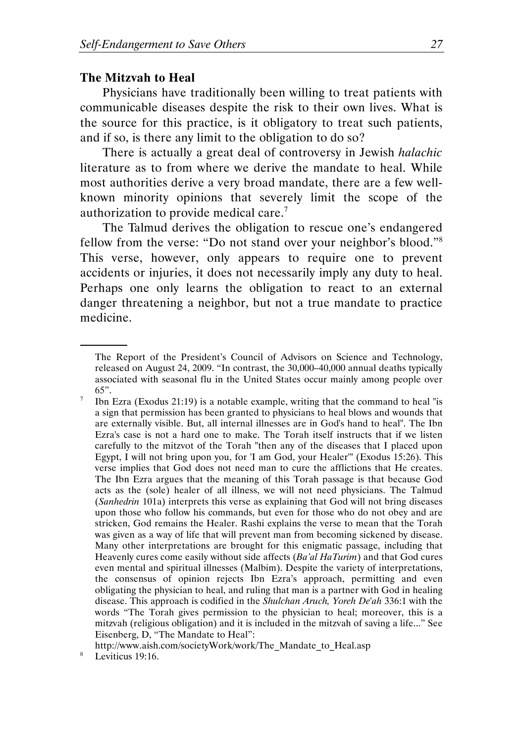#### The Mitzvah to Heal

Physicians have traditionally been willing to treat patients with communicable diseases despite the risk to their own lives. What is the source for this practice, is it obligatory to treat such patients, and if so, is there any limit to the obligation to do so?

There is actually a great deal of controversy in Jewish halachic literature as to from where we derive the mandate to heal. While most authorities derive a very broad mandate, there are a few wellknown minority opinions that severely limit the scope of the authorization to provide medical care.<sup>7</sup>

The Talmud derives the obligation to rescue one's endangered fellow from the verse: "Do not stand over your neighbor's blood."<sup>8</sup> This verse, however, only appears to require one to prevent accidents or injuries, it does not necessarily imply any duty to heal. Perhaps one only learns the obligation to react to an external danger threatening a neighbor, but not a true mandate to practice medicine.

The Report of the President's Council of Advisors on Science and Technology, released on August 24, 2009. "In contrast, the 30,000–40,000 annual deaths typically associated with seasonal flu in the United States occur mainly among people over 65".

<sup>7</sup> Ibn Ezra (Exodus 21:19) is a notable example, writing that the command to heal "is a sign that permission has been granted to physicians to heal blows and wounds that are externally visible. But, all internal illnesses are in God's hand to heal". The Ibn Ezra's case is not a hard one to make. The Torah itself instructs that if we listen carefully to the mitzvot of the Torah "then any of the diseases that I placed upon Egypt, I will not bring upon you, for 'I am God, your Healer'" (Exodus 15:26). This verse implies that God does not need man to cure the afflictions that He creates. The Ibn Ezra argues that the meaning of this Torah passage is that because God acts as the (sole) healer of all illness, we will not need physicians. The Talmud (Sanhedrin 101a) interprets this verse as explaining that God will not bring diseases upon those who follow his commands, but even for those who do not obey and are stricken, God remains the Healer. Rashi explains the verse to mean that the Torah was given as a way of life that will prevent man from becoming sickened by disease. Many other interpretations are brought for this enigmatic passage, including that Heavenly cures come easily without side affects (Ba'al HaTurim) and that God cures even mental and spiritual illnesses (Malbim). Despite the variety of interpretations, the consensus of opinion rejects Ibn Ezra's approach, permitting and even obligating the physician to heal, and ruling that man is a partner with God in healing disease. This approach is codified in the Shulchan Aruch, Yoreh De'ah 336:1 with the words "The Torah gives permission to the physician to heal; moreover, this is a mitzvah (religious obligation) and it is included in the mitzvah of saving a life..." See Eisenberg, D, "The Mandate to Heal":

http://www.aish.com/societyWork/work/The\_Mandate\_to\_Heal.asp

<sup>8</sup> Leviticus 19:16.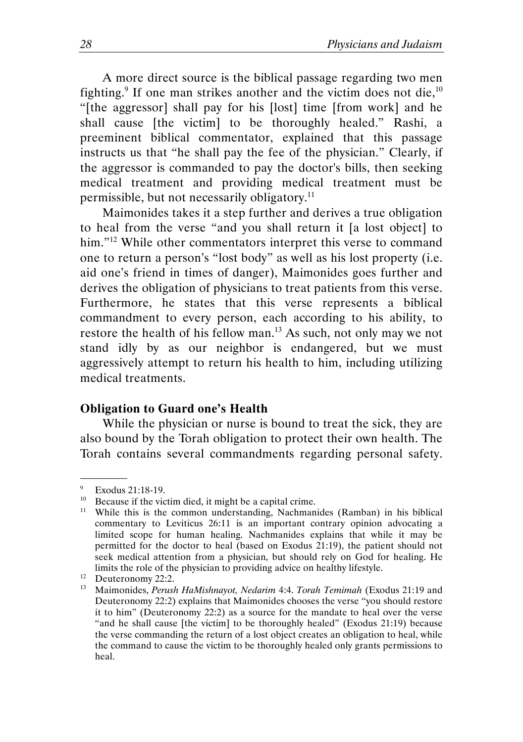A more direct source is the biblical passage regarding two men fighting.<sup>9</sup> If one man strikes another and the victim does not die,<sup>10</sup> "[the aggressor] shall pay for his [lost] time [from work] and he shall cause [the victim] to be thoroughly healed." Rashi, a preeminent biblical commentator, explained that this passage instructs us that "he shall pay the fee of the physician." Clearly, if the aggressor is commanded to pay the doctor's bills, then seeking medical treatment and providing medical treatment must be permissible, but not necessarily obligatory.<sup>11</sup>

Maimonides takes it a step further and derives a true obligation to heal from the verse "and you shall return it [a lost object] to him."<sup>12</sup> While other commentators interpret this verse to command one to return a person's "lost body" as well as his lost property (i.e. aid one's friend in times of danger), Maimonides goes further and derives the obligation of physicians to treat patients from this verse. Furthermore, he states that this verse represents a biblical commandment to every person, each according to his ability, to restore the health of his fellow man.<sup>13</sup> As such, not only may we not stand idly by as our neighbor is endangered, but we must aggressively attempt to return his health to him, including utilizing medical treatments.

#### Obligation to Guard one's Health

While the physician or nurse is bound to treat the sick, they are also bound by the Torah obligation to protect their own health. The Torah contains several commandments regarding personal safety.

<sup>9</sup> Exodus 21:18-19.

Because if the victim died, it might be a capital crime.

<sup>&</sup>lt;sup>11</sup> While this is the common understanding, Nachmanides (Ramban) in his biblical commentary to Leviticus 26:11 is an important contrary opinion advocating a limited scope for human healing. Nachmanides explains that while it may be permitted for the doctor to heal (based on Exodus 21:19), the patient should not seek medical attention from a physician, but should rely on God for healing. He limits the role of the physician to providing advice on healthy lifestyle.

<sup>&</sup>lt;sup>12</sup> Deuteronomy 22:2.<br><sup>13</sup> Maimonides *Perusi* 

<sup>13</sup> Maimonides, Perush HaMishnayot, Nedarim 4:4. Torah Temimah (Exodus 21:19 and Deuteronomy 22:2) explains that Maimonides chooses the verse "you should restore it to him" (Deuteronomy 22:2) as a source for the mandate to heal over the verse "and he shall cause [the victim] to be thoroughly healed" (Exodus 21:19) because the verse commanding the return of a lost object creates an obligation to heal, while the command to cause the victim to be thoroughly healed only grants permissions to heal.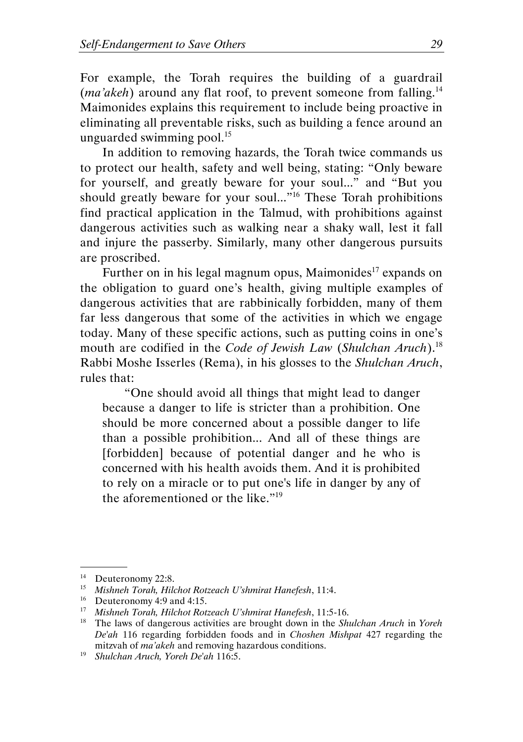For example, the Torah requires the building of a guardrail (*ma'akeh*) around any flat roof, to prevent someone from falling.<sup>14</sup> Maimonides explains this requirement to include being proactive in eliminating all preventable risks, such as building a fence around an unguarded swimming pool.<sup>15</sup>

In addition to removing hazards, the Torah twice commands us to protect our health, safety and well being, stating: "Only beware for yourself, and greatly beware for your soul..." and "But you should greatly beware for your soul..."<sup>16</sup> These Torah prohibitions find practical application in the Talmud, with prohibitions against dangerous activities such as walking near a shaky wall, lest it fall and injure the passerby. Similarly, many other dangerous pursuits are proscribed.

Further on in his legal magnum opus, Maimonides<sup>17</sup> expands on the obligation to guard one's health, giving multiple examples of dangerous activities that are rabbinically forbidden, many of them far less dangerous that some of the activities in which we engage today. Many of these specific actions, such as putting coins in one's mouth are codified in the Code of Jewish Law (Shulchan Aruch).<sup>18</sup> Rabbi Moshe Isserles (Rema), in his glosses to the Shulchan Aruch, rules that:

"One should avoid all things that might lead to danger because a danger to life is stricter than a prohibition. One should be more concerned about a possible danger to life than a possible prohibition... And all of these things are [forbidden] because of potential danger and he who is concerned with his health avoids them. And it is prohibited to rely on a miracle or to put one's life in danger by any of the aforementioned or the like."<sup>19</sup>

<sup>&</sup>lt;sup>14</sup> Deuteronomy 22:8.

<sup>15</sup> Mishneh Torah, Hilchot Rotzeach U'shmirat Hanefesh, 11:4.

<sup>16</sup> Deuteronomy 4:9 and 4:15.

<sup>17</sup> Mishneh Torah, Hilchot Rotzeach U'shmirat Hanefesh, 11:5-16.

<sup>&</sup>lt;sup>18</sup> The laws of dangerous activities are brought down in the Shulchan Aruch in Yoreh De'ah 116 regarding forbidden foods and in Choshen Mishpat 427 regarding the mitzvah of ma'akeh and removing hazardous conditions.

 $19$  Shulchan Aruch, Yoreh De'ah 116:5.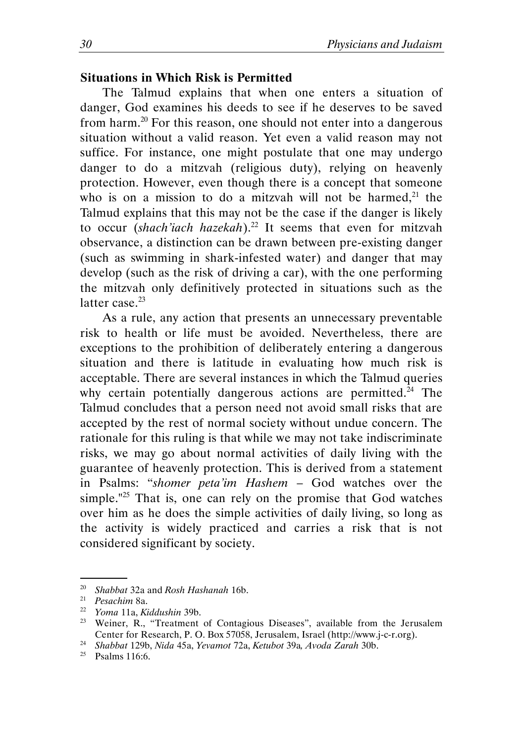#### Situations in Which Risk is Permitted

The Talmud explains that when one enters a situation of danger, God examines his deeds to see if he deserves to be saved from harm.<sup>20</sup> For this reason, one should not enter into a dangerous situation without a valid reason. Yet even a valid reason may not suffice. For instance, one might postulate that one may undergo danger to do a mitzvah (religious duty), relying on heavenly protection. However, even though there is a concept that someone who is on a mission to do a mitzvah will not be harmed, $21$  the Talmud explains that this may not be the case if the danger is likely to occur (shach'iach hazekah).<sup>22</sup> It seems that even for mitzvah observance, a distinction can be drawn between pre-existing danger (such as swimming in shark-infested water) and danger that may develop (such as the risk of driving a car), with the one performing the mitzvah only definitively protected in situations such as the latter case.<sup>23</sup>

As a rule, any action that presents an unnecessary preventable risk to health or life must be avoided. Nevertheless, there are exceptions to the prohibition of deliberately entering a dangerous situation and there is latitude in evaluating how much risk is acceptable. There are several instances in which the Talmud queries why certain potentially dangerous actions are permitted.<sup>24</sup> The Talmud concludes that a person need not avoid small risks that are accepted by the rest of normal society without undue concern. The rationale for this ruling is that while we may not take indiscriminate risks, we may go about normal activities of daily living with the guarantee of heavenly protection. This is derived from a statement in Psalms: "shomer peta'im Hashem – God watches over the simple."<sup>25</sup> That is, one can rely on the promise that God watches over him as he does the simple activities of daily living, so long as the activity is widely practiced and carries a risk that is not considered significant by society.

<sup>&</sup>lt;sup>20</sup> Shabbat 32a and Rosh Hashanah 16b.

<sup>21</sup> Pesachim 8a.

<sup>22</sup> Yoma 11a, Kiddushin 39b.

<sup>&</sup>lt;sup>23</sup> Weiner, R., "Treatment of Contagious Diseases", available from the Jerusalem Center for Research, P. O. Box 57058, Jerusalem, Israel (http://www.j-c-r.org).

<sup>24</sup> Shabbat 129b, Nida 45a, Yevamot 72a, Ketubot 39a, Avoda Zarah 30b.

 $25$  Psalms 116:6.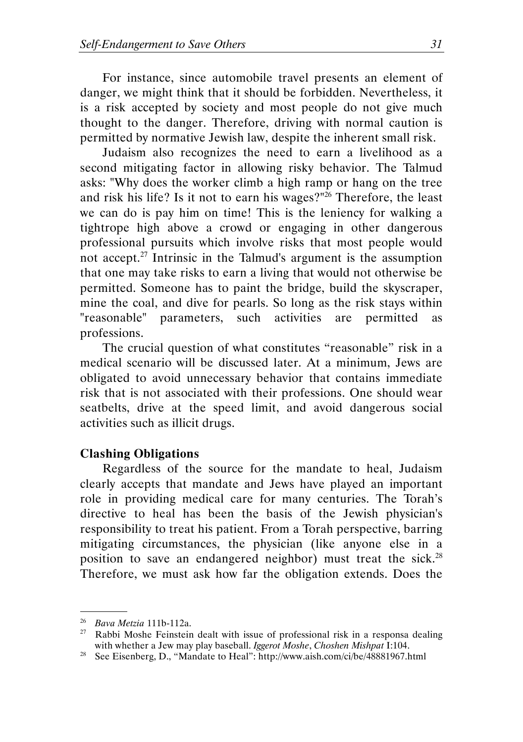For instance, since automobile travel presents an element of danger, we might think that it should be forbidden. Nevertheless, it is a risk accepted by society and most people do not give much thought to the danger. Therefore, driving with normal caution is permitted by normative Jewish law, despite the inherent small risk.

Judaism also recognizes the need to earn a livelihood as a second mitigating factor in allowing risky behavior. The Talmud asks: "Why does the worker climb a high ramp or hang on the tree and risk his life? Is it not to earn his wages?" $26$  Therefore, the least we can do is pay him on time! This is the leniency for walking a tightrope high above a crowd or engaging in other dangerous professional pursuits which involve risks that most people would not accept.<sup>27</sup> Intrinsic in the Talmud's argument is the assumption that one may take risks to earn a living that would not otherwise be permitted. Someone has to paint the bridge, build the skyscraper, mine the coal, and dive for pearls. So long as the risk stays within "reasonable" parameters, such activities are permitted as professions.

The crucial question of what constitutes "reasonable" risk in a medical scenario will be discussed later. At a minimum, Jews are obligated to avoid unnecessary behavior that contains immediate risk that is not associated with their professions. One should wear seatbelts, drive at the speed limit, and avoid dangerous social activities such as illicit drugs.

#### Clashing Obligations

Regardless of the source for the mandate to heal, Judaism clearly accepts that mandate and Jews have played an important role in providing medical care for many centuries. The Torah's directive to heal has been the basis of the Jewish physician's responsibility to treat his patient. From a Torah perspective, barring mitigating circumstances, the physician (like anyone else in a position to save an endangered neighbor) must treat the sick.<sup>28</sup> Therefore, we must ask how far the obligation extends. Does the

 $26$  Bava Metzia 111b-112a.

<sup>&</sup>lt;sup>27</sup> Rabbi Moshe Feinstein dealt with issue of professional risk in a responsa dealing with whether a Jew may play baseball. Iggerot Moshe, Choshen Mishpat I:104.

<sup>28</sup> See Eisenberg, D., "Mandate to Heal": http://www.aish.com/ci/be/48881967.html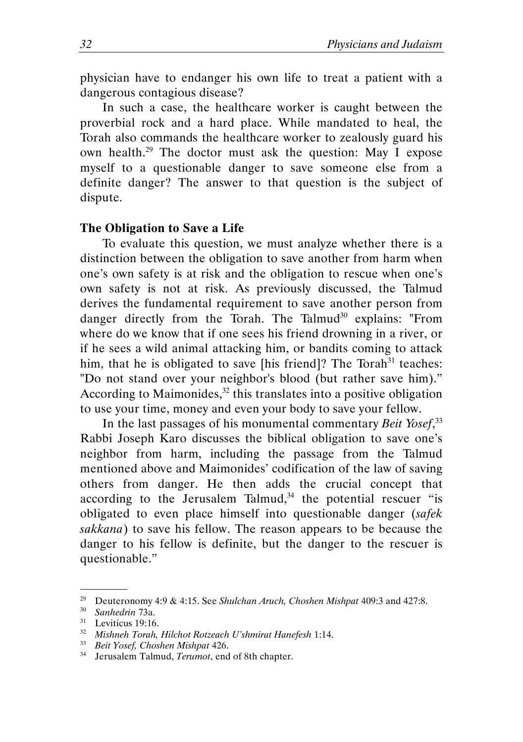physician have to endanger his own life to treat a patient with a dangerous contagious disease?

In such a case, the healthcare worker is caught between the proverbial rock and a hard place. While mandated to heal, the Torah also commands the healthcare worker to zealously guard his own health.<sup>29</sup> The doctor must ask the question: May I expose myself to a questionable danger to save someone else from a definite danger? The answer to that question is the subject of dispute.

#### The Obligation to Save a Life

To evaluate this question, we must analyze whether there is a distinction between the obligation to save another from harm when one's own safety is at risk and the obligation to rescue when one's own safety is not at risk. As previously discussed, the Talmud derives the fundamental requirement to save another person from danger directly from the Torah. The Talmud<sup>30</sup> explains: "From where do we know that if one sees his friend drowning in a river, or if he sees a wild animal attacking him, or bandits coming to attack him, that he is obligated to save [his friend]? The Torah $31$  teaches: "Do not stand over your neighbor's blood (but rather save him)." According to Maimonides, $32$  this translates into a positive obligation to use your time, money and even your body to save your fellow.

In the last passages of his monumental commentary Beit Yosef,<sup>33</sup> Rabbi Joseph Karo discusses the biblical obligation to save one's neighbor from harm, including the passage from the Talmud mentioned above and Maimonides' codification of the law of saving others from danger. He then adds the crucial concept that according to the Jerusalem Talmud, $34$  the potential rescuer "is obligated to even place himself into questionable danger (safek sakkana) to save his fellow. The reason appears to be because the danger to his fellow is definite, but the danger to the rescuer is questionable."

<sup>&</sup>lt;sup>29</sup> Deuteronomy 4:9 & 4:15. See Shulchan Aruch, Choshen Mishpat 409:3 and 427:8.

<sup>30</sup> Sanhedrin 73a.

 $31$  Leviticus 19:16.

<sup>32</sup> Mishneh Torah, Hilchot Rotzeach U'shmirat Hanefesh 1:14.

<sup>33</sup> Beit Yosef, Choshen Mishpat 426.

<sup>&</sup>lt;sup>34</sup> Jerusalem Talmud, *Terumot*, end of 8th chapter.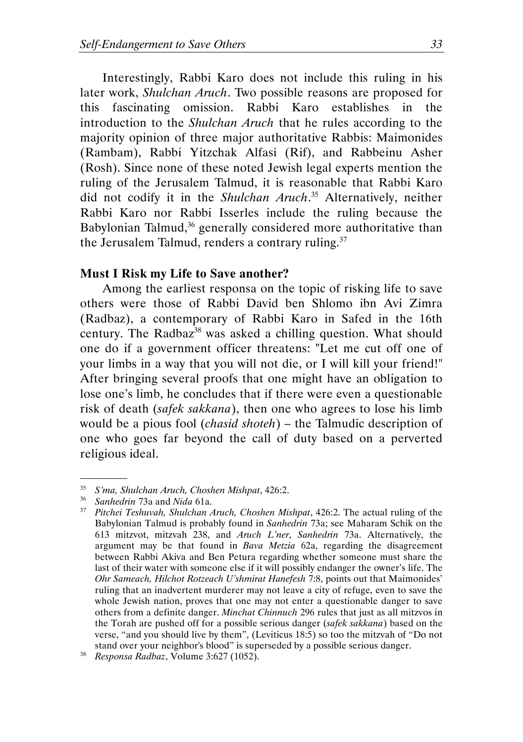Interestingly, Rabbi Karo does not include this ruling in his later work, Shulchan Aruch. Two possible reasons are proposed for this fascinating omission. Rabbi Karo establishes in the introduction to the Shulchan Aruch that he rules according to the majority opinion of three major authoritative Rabbis: Maimonides (Rambam), Rabbi Yitzchak Alfasi (Rif), and Rabbeinu Asher (Rosh). Since none of these noted Jewish legal experts mention the ruling of the Jerusalem Talmud, it is reasonable that Rabbi Karo did not codify it in the Shulchan Aruch.<sup>35</sup> Alternatively, neither Rabbi Karo nor Rabbi Isserles include the ruling because the Babylonian Talmud,<sup>36</sup> generally considered more authoritative than the Jerusalem Talmud, renders a contrary ruling. $37$ 

#### Must I Risk my Life to Save another?

Among the earliest responsa on the topic of risking life to save others were those of Rabbi David ben Shlomo ibn Avi Zimra (Radbaz), a contemporary of Rabbi Karo in Safed in the 16th century. The Radbaz<sup>38</sup> was asked a chilling question. What should one do if a government officer threatens: "Let me cut off one of your limbs in a way that you will not die, or I will kill your friend!" After bringing several proofs that one might have an obligation to lose one's limb, he concludes that if there were even a questionable risk of death (safek sakkana), then one who agrees to lose his limb would be a pious fool (chasid shoteh) – the Talmudic description of one who goes far beyond the call of duty based on a perverted religious ideal.

<sup>35</sup> S'ma, Shulchan Aruch, Choshen Mishpat, 426:2.

<sup>&</sup>lt;sup>36</sup> Sanhedrin 73a and Nida 61a.

 $37$  Pitchei Teshuvah, Shulchan Aruch, Choshen Mishpat, 426:2. The actual ruling of the Babylonian Talmud is probably found in Sanhedrin 73a; see Maharam Schik on the 613 mitzvot, mitzvah 238, and Aruch L'ner, Sanhedrin 73a. Alternatively, the argument may be that found in Bava Metzia 62a, regarding the disagreement between Rabbi Akiva and Ben Petura regarding whether someone must share the last of their water with someone else if it will possibly endanger the owner's life. The Ohr Sameach, Hilchot Rotzeach U'shmirat Hanefesh 7:8, points out that Maimonides' ruling that an inadvertent murderer may not leave a city of refuge, even to save the whole Jewish nation, proves that one may not enter a questionable danger to save others from a definite danger. Minchat Chinnuch 296 rules that just as all mitzvos in the Torah are pushed off for a possible serious danger (safek sakkana) based on the verse, "and you should live by them", (Leviticus 18:5) so too the mitzvah of "Do not stand over your neighbor's blood" is superseded by a possible serious danger.

<sup>38</sup> Responsa Radbaz, Volume 3:627 (1052).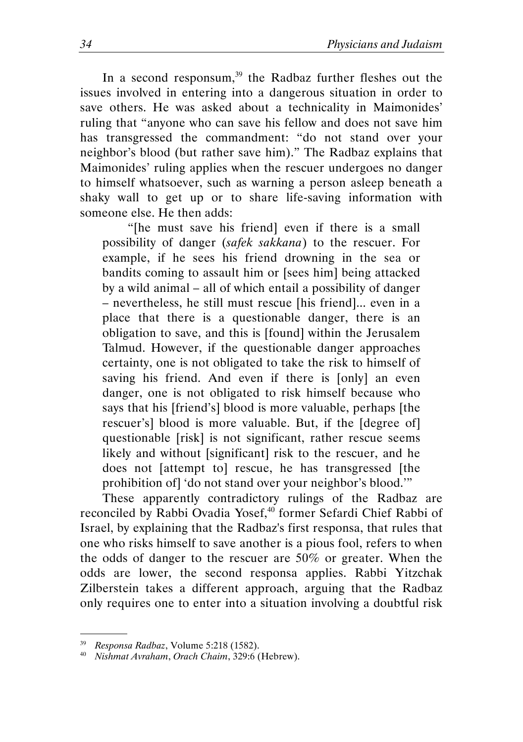In a second responsum, $39$  the Radbaz further fleshes out the issues involved in entering into a dangerous situation in order to save others. He was asked about a technicality in Maimonides' ruling that "anyone who can save his fellow and does not save him has transgressed the commandment: "do not stand over your neighbor's blood (but rather save him)." The Radbaz explains that Maimonides' ruling applies when the rescuer undergoes no danger to himself whatsoever, such as warning a person asleep beneath a shaky wall to get up or to share life-saving information with someone else. He then adds:

 "[he must save his friend] even if there is a small possibility of danger (safek sakkana) to the rescuer. For example, if he sees his friend drowning in the sea or bandits coming to assault him or [sees him] being attacked by a wild animal – all of which entail a possibility of danger – nevertheless, he still must rescue [his friend]... even in a place that there is a questionable danger, there is an obligation to save, and this is [found] within the Jerusalem Talmud. However, if the questionable danger approaches certainty, one is not obligated to take the risk to himself of saving his friend. And even if there is [only] an even danger, one is not obligated to risk himself because who says that his [friend's] blood is more valuable, perhaps [the rescuer's] blood is more valuable. But, if the [degree of] questionable [risk] is not significant, rather rescue seems likely and without [significant] risk to the rescuer, and he does not [attempt to] rescue, he has transgressed [the prohibition of] 'do not stand over your neighbor's blood.'"

These apparently contradictory rulings of the Radbaz are reconciled by Rabbi Ovadia Yosef,<sup>40</sup> former Sefardi Chief Rabbi of Israel, by explaining that the Radbaz's first responsa, that rules that one who risks himself to save another is a pious fool, refers to when the odds of danger to the rescuer are 50% or greater. When the odds are lower, the second responsa applies. Rabbi Yitzchak Zilberstein takes a different approach, arguing that the Radbaz only requires one to enter into a situation involving a doubtful risk

<sup>39</sup> Responsa Radbaz, Volume 5:218 (1582).

<sup>&</sup>lt;sup>40</sup> Nishmat Avraham, Orach Chaim,  $329:6$  (Hebrew).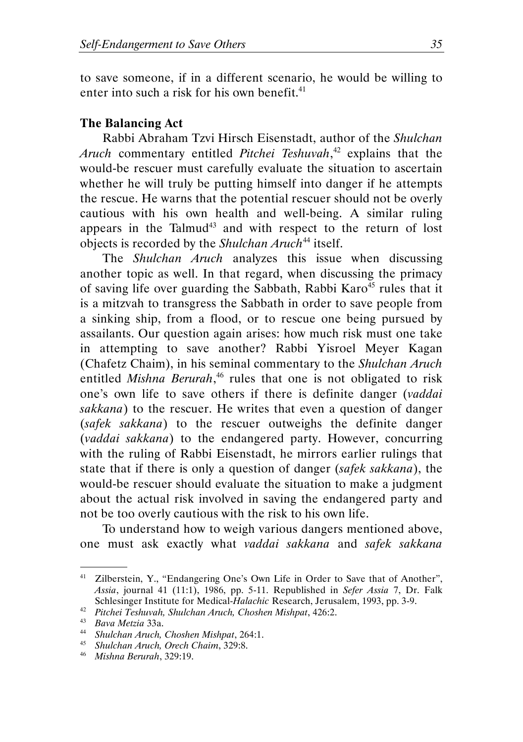to save someone, if in a different scenario, he would be willing to enter into such a risk for his own benefit. $41$ 

### The Balancing Act

Rabbi Abraham Tzvi Hirsch Eisenstadt, author of the Shulchan Aruch commentary entitled Pitchei Teshuvah,<sup>42</sup> explains that the would-be rescuer must carefully evaluate the situation to ascertain whether he will truly be putting himself into danger if he attempts the rescue. He warns that the potential rescuer should not be overly cautious with his own health and well-being. A similar ruling appears in the Talmud<sup>43</sup> and with respect to the return of lost objects is recorded by the Shulchan Aruch<sup>44</sup> itself.

The Shulchan Aruch analyzes this issue when discussing another topic as well. In that regard, when discussing the primacy of saving life over guarding the Sabbath, Rabbi Karo<sup>45</sup> rules that it is a mitzvah to transgress the Sabbath in order to save people from a sinking ship, from a flood, or to rescue one being pursued by assailants. Our question again arises: how much risk must one take in attempting to save another? Rabbi Yisroel Meyer Kagan (Chafetz Chaim), in his seminal commentary to the Shulchan Aruch entitled Mishna Berurah,<sup>46</sup> rules that one is not obligated to risk one's own life to save others if there is definite danger (vaddai sakkana) to the rescuer. He writes that even a question of danger (safek sakkana) to the rescuer outweighs the definite danger (vaddai sakkana) to the endangered party. However, concurring with the ruling of Rabbi Eisenstadt, he mirrors earlier rulings that state that if there is only a question of danger (safek sakkana), the would-be rescuer should evaluate the situation to make a judgment about the actual risk involved in saving the endangered party and not be too overly cautious with the risk to his own life.

To understand how to weigh various dangers mentioned above, one must ask exactly what vaddai sakkana and safek sakkana

<sup>&</sup>lt;sup>41</sup> Zilberstein, Y., "Endangering One's Own Life in Order to Save that of Another", Assia, journal 41 (11:1), 1986, pp. 5-11. Republished in Sefer Assia 7, Dr. Falk Schlesinger Institute for Medical-Halachic Research, Jerusalem, 1993, pp. 3-9.

 $42$  Pitchei Teshuvah, Shulchan Aruch, Choshen Mishpat, 426:2.

<sup>43</sup> Bava Metzia 33a.

<sup>44</sup> Shulchan Aruch, Choshen Mishpat, 264:1.

<sup>45</sup> Shulchan Aruch, Orech Chaim, 329:8.

<sup>46</sup> Mishna Berurah, 329:19.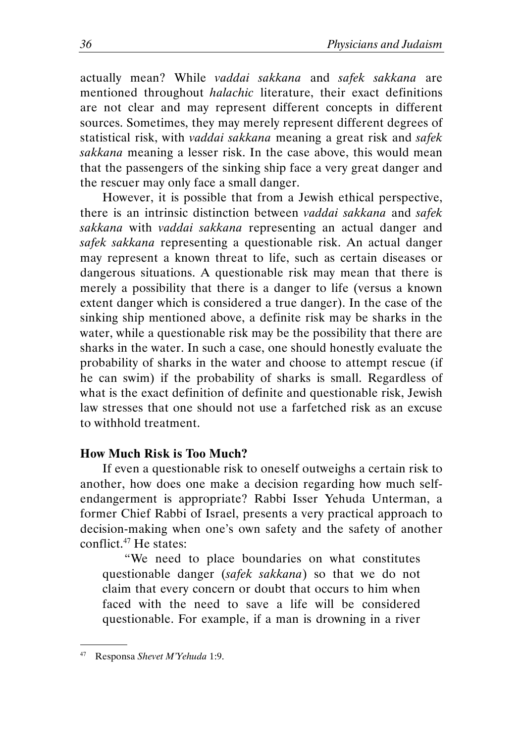actually mean? While vaddai sakkana and safek sakkana are mentioned throughout halachic literature, their exact definitions are not clear and may represent different concepts in different sources. Sometimes, they may merely represent different degrees of statistical risk, with *vaddai sakkana* meaning a great risk and safek sakkana meaning a lesser risk. In the case above, this would mean that the passengers of the sinking ship face a very great danger and the rescuer may only face a small danger.

However, it is possible that from a Jewish ethical perspective, there is an intrinsic distinction between vaddai sakkana and safek sakkana with vaddai sakkana representing an actual danger and safek sakkana representing a questionable risk. An actual danger may represent a known threat to life, such as certain diseases or dangerous situations. A questionable risk may mean that there is merely a possibility that there is a danger to life (versus a known extent danger which is considered a true danger). In the case of the sinking ship mentioned above, a definite risk may be sharks in the water, while a questionable risk may be the possibility that there are sharks in the water. In such a case, one should honestly evaluate the probability of sharks in the water and choose to attempt rescue (if he can swim) if the probability of sharks is small. Regardless of what is the exact definition of definite and questionable risk, Jewish law stresses that one should not use a farfetched risk as an excuse to withhold treatment.

#### How Much Risk is Too Much?

If even a questionable risk to oneself outweighs a certain risk to another, how does one make a decision regarding how much selfendangerment is appropriate? Rabbi Isser Yehuda Unterman, a former Chief Rabbi of Israel, presents a very practical approach to decision-making when one's own safety and the safety of another conflict.<sup>47</sup> He states:

"We need to place boundaries on what constitutes questionable danger (safek sakkana) so that we do not claim that every concern or doubt that occurs to him when faced with the need to save a life will be considered questionable. For example, if a man is drowning in a river

<sup>47</sup> Responsa Shevet M'Yehuda 1:9.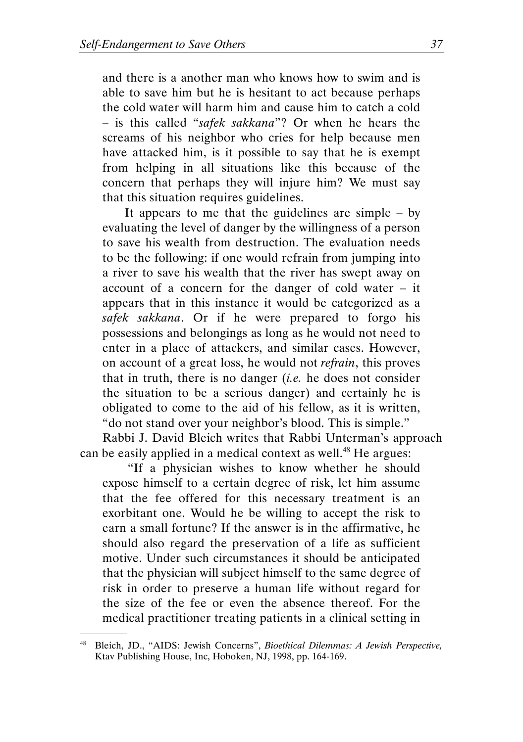and there is a another man who knows how to swim and is able to save him but he is hesitant to act because perhaps the cold water will harm him and cause him to catch a cold – is this called "safek sakkana"? Or when he hears the screams of his neighbor who cries for help because men have attacked him, is it possible to say that he is exempt from helping in all situations like this because of the concern that perhaps they will injure him? We must say that this situation requires guidelines.

It appears to me that the guidelines are simple – by evaluating the level of danger by the willingness of a person to save his wealth from destruction. The evaluation needs to be the following: if one would refrain from jumping into a river to save his wealth that the river has swept away on account of a concern for the danger of cold water – it appears that in this instance it would be categorized as a safek sakkana. Or if he were prepared to forgo his possessions and belongings as long as he would not need to enter in a place of attackers, and similar cases. However, on account of a great loss, he would not refrain, this proves that in truth, there is no danger  $(i.e.$  he does not consider the situation to be a serious danger) and certainly he is obligated to come to the aid of his fellow, as it is written, "do not stand over your neighbor's blood. This is simple."

Rabbi J. David Bleich writes that Rabbi Unterman's approach can be easily applied in a medical context as well.<sup>48</sup> He argues:

 "If a physician wishes to know whether he should expose himself to a certain degree of risk, let him assume that the fee offered for this necessary treatment is an exorbitant one. Would he be willing to accept the risk to earn a small fortune? If the answer is in the affirmative, he should also regard the preservation of a life as sufficient motive. Under such circumstances it should be anticipated that the physician will subject himself to the same degree of risk in order to preserve a human life without regard for the size of the fee or even the absence thereof. For the medical practitioner treating patients in a clinical setting in

<sup>&</sup>lt;sup>48</sup> Bleich, JD., "AIDS: Jewish Concerns", Bioethical Dilemmas: A Jewish Perspective, Ktav Publishing House, Inc, Hoboken, NJ, 1998, pp. 164-169.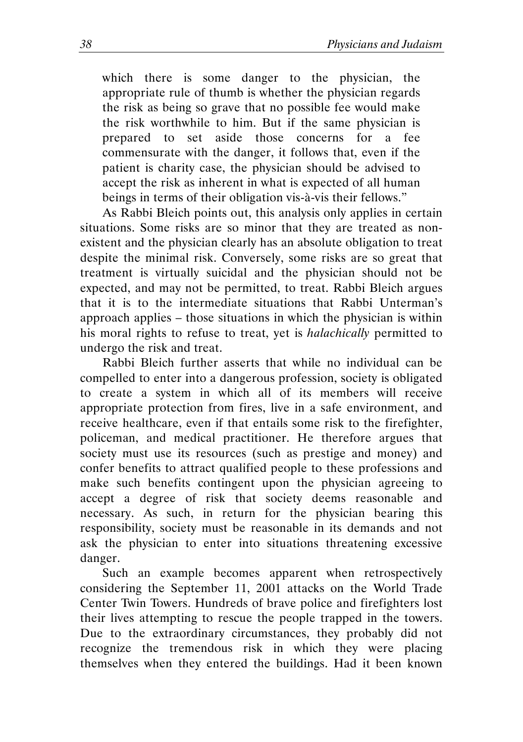which there is some danger to the physician, the appropriate rule of thumb is whether the physician regards the risk as being so grave that no possible fee would make the risk worthwhile to him. But if the same physician is prepared to set aside those concerns for a fee commensurate with the danger, it follows that, even if the patient is charity case, the physician should be advised to accept the risk as inherent in what is expected of all human beings in terms of their obligation vis-à-vis their fellows."

As Rabbi Bleich points out, this analysis only applies in certain situations. Some risks are so minor that they are treated as nonexistent and the physician clearly has an absolute obligation to treat despite the minimal risk. Conversely, some risks are so great that treatment is virtually suicidal and the physician should not be expected, and may not be permitted, to treat. Rabbi Bleich argues that it is to the intermediate situations that Rabbi Unterman's approach applies – those situations in which the physician is within his moral rights to refuse to treat, yet is halachically permitted to undergo the risk and treat.

Rabbi Bleich further asserts that while no individual can be compelled to enter into a dangerous profession, society is obligated to create a system in which all of its members will receive appropriate protection from fires, live in a safe environment, and receive healthcare, even if that entails some risk to the firefighter, policeman, and medical practitioner. He therefore argues that society must use its resources (such as prestige and money) and confer benefits to attract qualified people to these professions and make such benefits contingent upon the physician agreeing to accept a degree of risk that society deems reasonable and necessary. As such, in return for the physician bearing this responsibility, society must be reasonable in its demands and not ask the physician to enter into situations threatening excessive danger.

Such an example becomes apparent when retrospectively considering the September 11, 2001 attacks on the World Trade Center Twin Towers. Hundreds of brave police and firefighters lost their lives attempting to rescue the people trapped in the towers. Due to the extraordinary circumstances, they probably did not recognize the tremendous risk in which they were placing themselves when they entered the buildings. Had it been known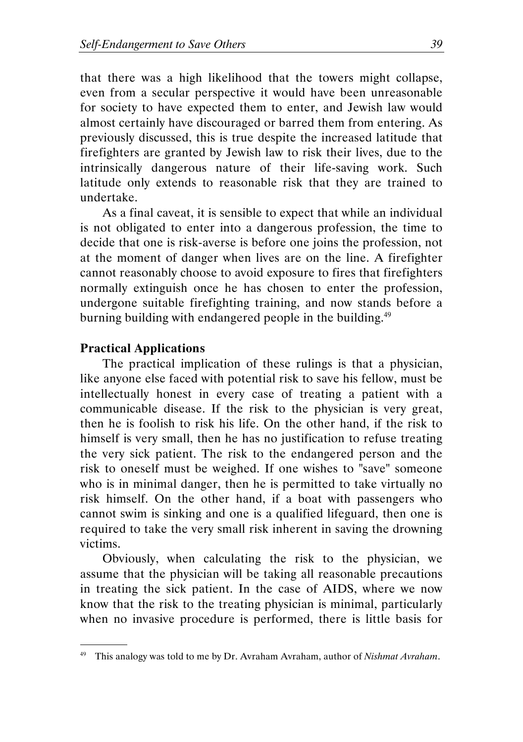that there was a high likelihood that the towers might collapse, even from a secular perspective it would have been unreasonable for society to have expected them to enter, and Jewish law would almost certainly have discouraged or barred them from entering. As previously discussed, this is true despite the increased latitude that firefighters are granted by Jewish law to risk their lives, due to the intrinsically dangerous nature of their life-saving work. Such latitude only extends to reasonable risk that they are trained to undertake.

As a final caveat, it is sensible to expect that while an individual is not obligated to enter into a dangerous profession, the time to decide that one is risk-averse is before one joins the profession, not at the moment of danger when lives are on the line. A firefighter cannot reasonably choose to avoid exposure to fires that firefighters normally extinguish once he has chosen to enter the profession, undergone suitable firefighting training, and now stands before a burning building with endangered people in the building.<sup>49</sup>

#### Practical Applications

.

The practical implication of these rulings is that a physician, like anyone else faced with potential risk to save his fellow, must be intellectually honest in every case of treating a patient with a communicable disease. If the risk to the physician is very great, then he is foolish to risk his life. On the other hand, if the risk to himself is very small, then he has no justification to refuse treating the very sick patient. The risk to the endangered person and the risk to oneself must be weighed. If one wishes to "save" someone who is in minimal danger, then he is permitted to take virtually no risk himself. On the other hand, if a boat with passengers who cannot swim is sinking and one is a qualified lifeguard, then one is required to take the very small risk inherent in saving the drowning victims.

Obviously, when calculating the risk to the physician, we assume that the physician will be taking all reasonable precautions in treating the sick patient. In the case of AIDS, where we now know that the risk to the treating physician is minimal, particularly when no invasive procedure is performed, there is little basis for

This analogy was told to me by Dr. Avraham Avraham, author of Nishmat Avraham.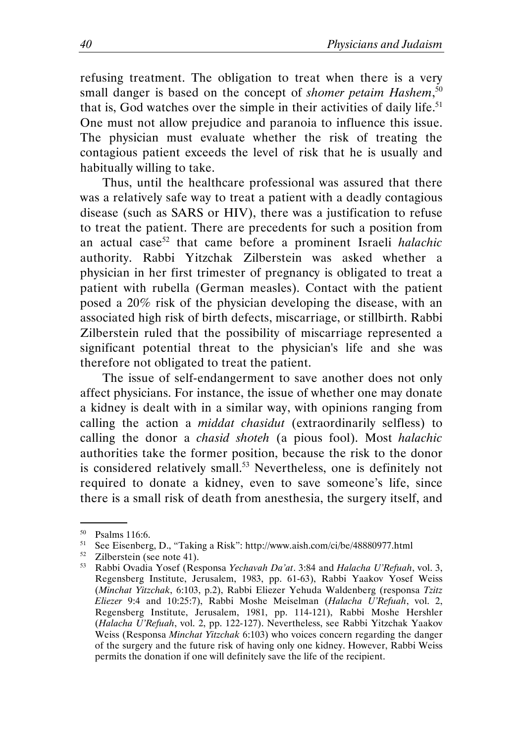refusing treatment. The obligation to treat when there is a very small danger is based on the concept of shomer petaim Hashem,<sup>50</sup> that is, God watches over the simple in their activities of daily life.<sup>51</sup> One must not allow prejudice and paranoia to influence this issue. The physician must evaluate whether the risk of treating the contagious patient exceeds the level of risk that he is usually and habitually willing to take.

Thus, until the healthcare professional was assured that there was a relatively safe way to treat a patient with a deadly contagious disease (such as SARS or HIV), there was a justification to refuse to treat the patient. There are precedents for such a position from an actual case<sup>52</sup> that came before a prominent Israeli *halachic* authority. Rabbi Yitzchak Zilberstein was asked whether a physician in her first trimester of pregnancy is obligated to treat a patient with rubella (German measles). Contact with the patient posed a 20% risk of the physician developing the disease, with an associated high risk of birth defects, miscarriage, or stillbirth. Rabbi Zilberstein ruled that the possibility of miscarriage represented a significant potential threat to the physician's life and she was therefore not obligated to treat the patient.

The issue of self-endangerment to save another does not only affect physicians. For instance, the issue of whether one may donate a kidney is dealt with in a similar way, with opinions ranging from calling the action a *middat chasidut* (extraordinarily selfless) to calling the donor a chasid shoteh (a pious fool). Most halachic authorities take the former position, because the risk to the donor is considered relatively small.<sup>53</sup> Nevertheless, one is definitely not required to donate a kidney, even to save someone's life, since there is a small risk of death from anesthesia, the surgery itself, and

 $^{50}$  Psalms 116:6.<br> $^{51}$  See Fisenberg

<sup>51</sup> See Eisenberg, D., "Taking a Risk": http://www.aish.com/ci/be/48880977.html

 $52$  Zilberstein (see note 41).

<sup>53</sup> Rabbi Ovadia Yosef (Responsa Yechavah Da'at. 3:84 and Halacha U'Refuah, vol. 3, Regensberg Institute, Jerusalem, 1983, pp. 61-63), Rabbi Yaakov Yosef Weiss (Minchat Yitzchak, 6:103, p.2), Rabbi Eliezer Yehuda Waldenberg (responsa Tzitz Eliezer 9:4 and 10:25:7), Rabbi Moshe Meiselman (Halacha U'Refuah, vol. 2, Regensberg Institute, Jerusalem, 1981, pp. 114-121), Rabbi Moshe Hershler (Halacha U'Refuah, vol. 2, pp. 122-127). Nevertheless, see Rabbi Yitzchak Yaakov Weiss (Responsa Minchat Yitzchak 6:103) who voices concern regarding the danger of the surgery and the future risk of having only one kidney. However, Rabbi Weiss permits the donation if one will definitely save the life of the recipient.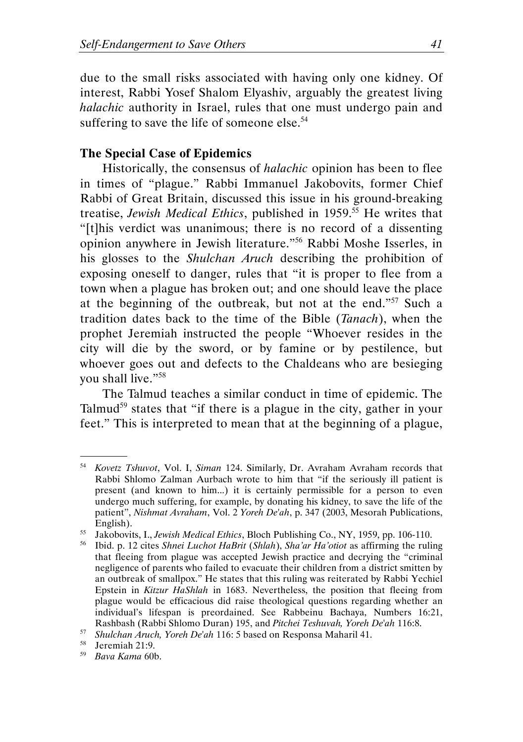due to the small risks associated with having only one kidney. Of interest, Rabbi Yosef Shalom Elyashiv, arguably the greatest living halachic authority in Israel, rules that one must undergo pain and suffering to save the life of someone else.<sup>54</sup>

#### The Special Case of Epidemics

Historically, the consensus of halachic opinion has been to flee in times of "plague." Rabbi Immanuel Jakobovits, former Chief Rabbi of Great Britain, discussed this issue in his ground-breaking treatise, Jewish Medical Ethics, published in 1959.<sup>55</sup> He writes that "[t]his verdict was unanimous; there is no record of a dissenting opinion anywhere in Jewish literature."<sup>56</sup> Rabbi Moshe Isserles, in his glosses to the Shulchan Aruch describing the prohibition of exposing oneself to danger, rules that "it is proper to flee from a town when a plague has broken out; and one should leave the place at the beginning of the outbreak, but not at the end."<sup>57</sup> Such a tradition dates back to the time of the Bible (Tanach), when the prophet Jeremiah instructed the people "Whoever resides in the city will die by the sword, or by famine or by pestilence, but whoever goes out and defects to the Chaldeans who are besieging you shall live."<sup>58</sup>

The Talmud teaches a similar conduct in time of epidemic. The Talmud<sup>59</sup> states that "if there is a plague in the city, gather in your feet." This is interpreted to mean that at the beginning of a plague,

<sup>&</sup>lt;sup>54</sup> Kovetz Tshuvot, Vol. I, Siman 124. Similarly, Dr. Avraham Avraham records that Rabbi Shlomo Zalman Aurbach wrote to him that "if the seriously ill patient is present (and known to him...) it is certainly permissible for a person to even undergo much suffering, for example, by donating his kidney, to save the life of the patient", Nishmat Avraham, Vol. 2 Yoreh De'ah, p. 347 (2003, Mesorah Publications, English).

<sup>&</sup>lt;sup>55</sup> Jakobovits, I., *Jewish Medical Ethics*, Bloch Publishing Co., NY, 1959, pp. 106-110.<br><sup>56</sup> Ibid n 12 cites *Shnei Luchot HaBrit (Shlah) Sha'ar Ha'otiot* as affirming the ruli

<sup>56</sup> Ibid. p. 12 cites Shnei Luchot HaBrit (Shlah), Sha'ar Ha'otiot as affirming the ruling that fleeing from plague was accepted Jewish practice and decrying the "criminal negligence of parents who failed to evacuate their children from a district smitten by an outbreak of smallpox." He states that this ruling was reiterated by Rabbi Yechiel Epstein in Kitzur HaShlah in 1683. Nevertheless, the position that fleeing from plague would be efficacious did raise theological questions regarding whether an individual's lifespan is preordained. See Rabbeinu Bachaya, Numbers 16:21, Rashbash (Rabbi Shlomo Duran) 195, and Pitchei Teshuvah, Yoreh De'ah 116:8.

<sup>57</sup> <sup>57</sup> Shulchan Aruch, Yoreh De'ah 116: 5 based on Responsa Maharil 41.<br><sup>58</sup> Jeremiah 21:9.

Jeremiah 21:9.

<sup>59</sup> Bava Kama 60b.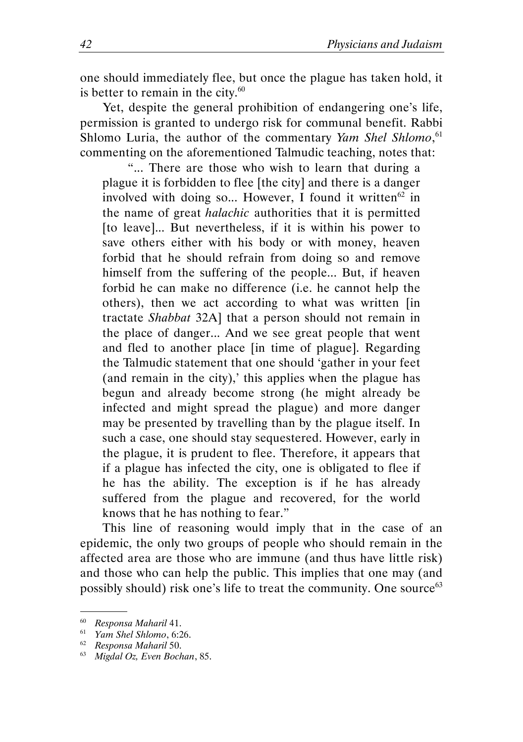one should immediately flee, but once the plague has taken hold, it is better to remain in the city. $60$ 

Yet, despite the general prohibition of endangering one's life, permission is granted to undergo risk for communal benefit. Rabbi Shlomo Luria, the author of the commentary Yam Shel Shlomo,<sup>61</sup> commenting on the aforementioned Talmudic teaching, notes that:

 "... There are those who wish to learn that during a plague it is forbidden to flee [the city] and there is a danger involved with doing so... However, I found it written $62$  in the name of great halachic authorities that it is permitted [to leave]... But nevertheless, if it is within his power to save others either with his body or with money, heaven forbid that he should refrain from doing so and remove himself from the suffering of the people... But, if heaven forbid he can make no difference (i.e. he cannot help the others), then we act according to what was written [in tractate Shabbat 32A] that a person should not remain in the place of danger... And we see great people that went and fled to another place [in time of plague]. Regarding the Talmudic statement that one should 'gather in your feet (and remain in the city),' this applies when the plague has begun and already become strong (he might already be infected and might spread the plague) and more danger may be presented by travelling than by the plague itself. In such a case, one should stay sequestered. However, early in the plague, it is prudent to flee. Therefore, it appears that if a plague has infected the city, one is obligated to flee if he has the ability. The exception is if he has already suffered from the plague and recovered, for the world knows that he has nothing to fear."

This line of reasoning would imply that in the case of an epidemic, the only two groups of people who should remain in the affected area are those who are immune (and thus have little risk) and those who can help the public. This implies that one may (and possibly should) risk one's life to treat the community. One source<sup>63</sup>

<sup>&</sup>lt;sup>60</sup> Responsa Maharil 41.

<sup>61</sup> Yam Shel Shlomo, 6:26.

<sup>&</sup>lt;sup>62</sup> Responsa Maharil 50.

<sup>&</sup>lt;sup>63</sup> Migdal Oz, Even Bochan, 85.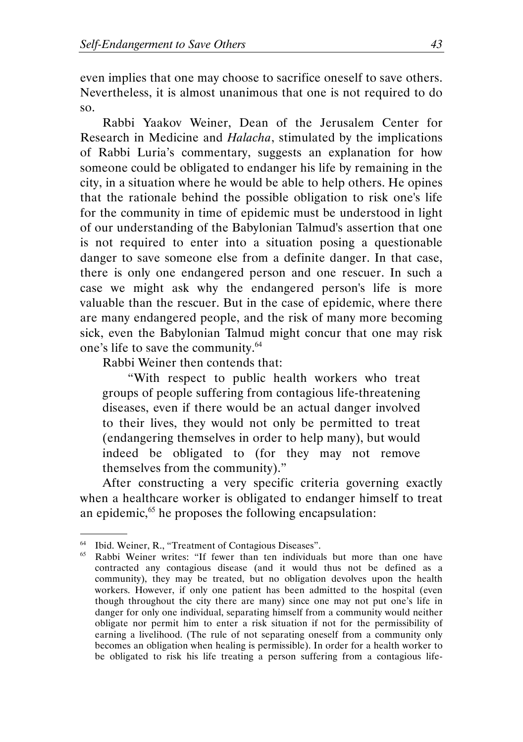even implies that one may choose to sacrifice oneself to save others. Nevertheless, it is almost unanimous that one is not required to do so.

Rabbi Yaakov Weiner, Dean of the Jerusalem Center for Research in Medicine and Halacha, stimulated by the implications of Rabbi Luria's commentary, suggests an explanation for how someone could be obligated to endanger his life by remaining in the city, in a situation where he would be able to help others. He opines that the rationale behind the possible obligation to risk one's life for the community in time of epidemic must be understood in light of our understanding of the Babylonian Talmud's assertion that one is not required to enter into a situation posing a questionable danger to save someone else from a definite danger. In that case, there is only one endangered person and one rescuer. In such a case we might ask why the endangered person's life is more valuable than the rescuer. But in the case of epidemic, where there are many endangered people, and the risk of many more becoming sick, even the Babylonian Talmud might concur that one may risk one's life to save the community.<sup>64</sup>

Rabbi Weiner then contends that:

 "With respect to public health workers who treat groups of people suffering from contagious life-threatening diseases, even if there would be an actual danger involved to their lives, they would not only be permitted to treat (endangering themselves in order to help many), but would indeed be obligated to (for they may not remove themselves from the community)."

After constructing a very specific criteria governing exactly when a healthcare worker is obligated to endanger himself to treat an epidemic,<sup>65</sup> he proposes the following encapsulation:

<sup>64</sup> Ibid. Weiner, R., "Treatment of Contagious Diseases".

Rabbi Weiner writes: "If fewer than ten individuals but more than one have contracted any contagious disease (and it would thus not be defined as a community), they may be treated, but no obligation devolves upon the health workers. However, if only one patient has been admitted to the hospital (even though throughout the city there are many) since one may not put one's life in danger for only one individual, separating himself from a community would neither obligate nor permit him to enter a risk situation if not for the permissibility of earning a livelihood. (The rule of not separating oneself from a community only becomes an obligation when healing is permissible). In order for a health worker to be obligated to risk his life treating a person suffering from a contagious life-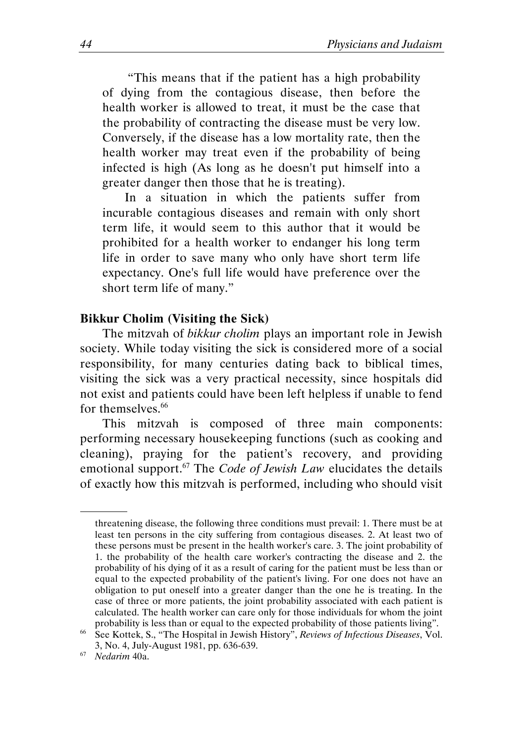"This means that if the patient has a high probability of dying from the contagious disease, then before the health worker is allowed to treat, it must be the case that the probability of contracting the disease must be very low. Conversely, if the disease has a low mortality rate, then the health worker may treat even if the probability of being infected is high (As long as he doesn't put himself into a greater danger then those that he is treating).

In a situation in which the patients suffer from incurable contagious diseases and remain with only short term life, it would seem to this author that it would be prohibited for a health worker to endanger his long term life in order to save many who only have short term life expectancy. One's full life would have preference over the short term life of many."

#### Bikkur Cholim (Visiting the Sick)

The mitzvah of bikkur cholim plays an important role in Jewish society. While today visiting the sick is considered more of a social responsibility, for many centuries dating back to biblical times, visiting the sick was a very practical necessity, since hospitals did not exist and patients could have been left helpless if unable to fend for themselves.<sup>66</sup>

This mitzvah is composed of three main components: performing necessary housekeeping functions (such as cooking and cleaning), praying for the patient's recovery, and providing emotional support.<sup>67</sup> The *Code of Jewish Law* elucidates the details of exactly how this mitzvah is performed, including who should visit

threatening disease, the following three conditions must prevail: 1. There must be at least ten persons in the city suffering from contagious diseases. 2. At least two of these persons must be present in the health worker's care. 3. The joint probability of 1. the probability of the health care worker's contracting the disease and 2. the probability of his dying of it as a result of caring for the patient must be less than or equal to the expected probability of the patient's living. For one does not have an obligation to put oneself into a greater danger than the one he is treating. In the case of three or more patients, the joint probability associated with each patient is calculated. The health worker can care only for those individuals for whom the joint probability is less than or equal to the expected probability of those patients living".

<sup>&</sup>lt;sup>66</sup> See Kottek, S., "The Hospital in Jewish History", Reviews of Infectious Diseases, Vol. 3, No. 4, July-August 1981, pp. 636-639.

 $67$  Nedarim 40a.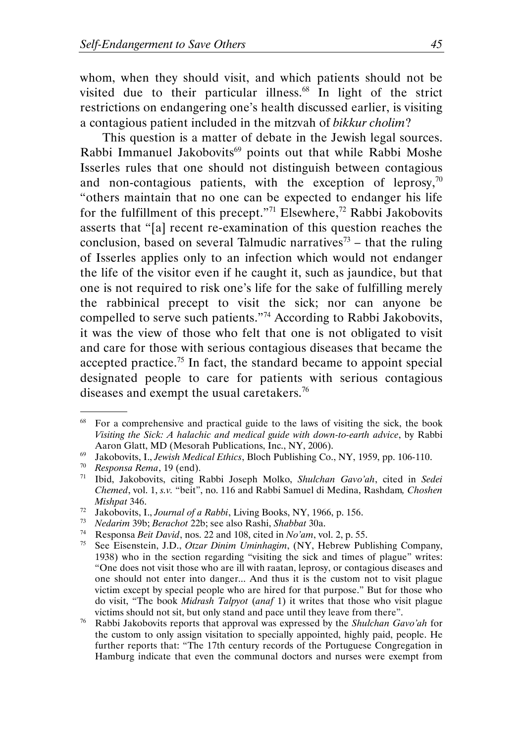whom, when they should visit, and which patients should not be visited due to their particular illness.<sup>68</sup> In light of the strict restrictions on endangering one's health discussed earlier, is visiting a contagious patient included in the mitzvah of bikkur cholim?

This question is a matter of debate in the Jewish legal sources. Rabbi Immanuel Jakobovits<sup>69</sup> points out that while Rabbi Moshe Isserles rules that one should not distinguish between contagious and non-contagious patients, with the exception of leprosy, $70$ "others maintain that no one can be expected to endanger his life for the fulfillment of this precept."<sup>71</sup> Elsewhere,<sup>72</sup> Rabbi Jakobovits asserts that "[a] recent re-examination of this question reaches the conclusion, based on several Talmudic narratives<sup>73</sup> – that the ruling of Isserles applies only to an infection which would not endanger the life of the visitor even if he caught it, such as jaundice, but that one is not required to risk one's life for the sake of fulfilling merely the rabbinical precept to visit the sick; nor can anyone be compelled to serve such patients."<sup>74</sup> According to Rabbi Jakobovits, it was the view of those who felt that one is not obligated to visit and care for those with serious contagious diseases that became the accepted practice.<sup>75</sup> In fact, the standard became to appoint special designated people to care for patients with serious contagious diseases and exempt the usual caretakers.<sup>76</sup>

<sup>&</sup>lt;sup>68</sup> For a comprehensive and practical guide to the laws of visiting the sick, the book Visiting the Sick: A halachic and medical guide with down-to-earth advice, by Rabbi Aaron Glatt, MD (Mesorah Publications, Inc., NY, 2006).

 $69$  Jakobovits, I., Jewish Medical Ethics, Bloch Publishing Co., NY, 1959, pp. 106-110.

<sup>70</sup> Responsa Rema, 19 (end).

<sup>&</sup>lt;sup>71</sup> Ibid, Jakobovits, citing Rabbi Joseph Molko, Shulchan Gavo'ah, cited in Sedei Chemed, vol. 1, s.v. "beit", no. 116 and Rabbi Samuel di Medina, Rashdam, Choshen Mishpat 346.

<sup>&</sup>lt;sup>72</sup> Jakobovits, I., Journal of a Rabbi, Living Books, NY, 1966, p. 156.

<sup>73</sup> Nedarim 39b; Berachot 22b; see also Rashi, Shabbat 30a.

<sup>&</sup>lt;sup>74</sup> Responsa *Beit David*, nos. 22 and 108, cited in No'am, vol. 2, p. 55.<br><sup>75</sup> See Fisenstein ID *Otzar Dinim Uminhagim* (NY Hebrew Pub

See Eisenstein, J.D., Otzar Dinim Uminhagim, (NY, Hebrew Publishing Company, 1938) who in the section regarding "visiting the sick and times of plague" writes: "One does not visit those who are ill with raatan, leprosy, or contagious diseases and one should not enter into danger... And thus it is the custom not to visit plague victim except by special people who are hired for that purpose." But for those who do visit, "The book Midrash Talpyot (anaf 1) it writes that those who visit plague victims should not sit, but only stand and pace until they leave from there".

<sup>&</sup>lt;sup>76</sup> Rabbi Jakobovits reports that approval was expressed by the *Shulchan Gavo'ah* for the custom to only assign visitation to specially appointed, highly paid, people. He further reports that: "The 17th century records of the Portuguese Congregation in Hamburg indicate that even the communal doctors and nurses were exempt from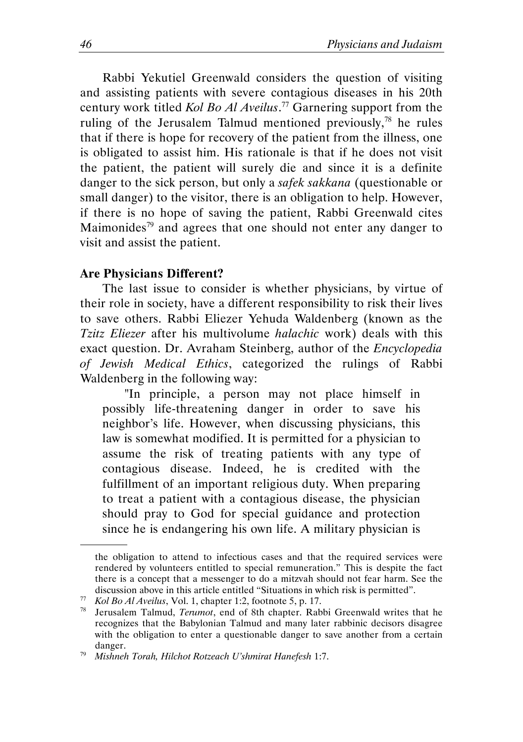Rabbi Yekutiel Greenwald considers the question of visiting and assisting patients with severe contagious diseases in his 20th century work titled *Kol Bo Al Aveilus*.<sup>77</sup> Garnering support from the ruling of the Jerusalem Talmud mentioned previously, <sup>78</sup> he rules that if there is hope for recovery of the patient from the illness, one is obligated to assist him. His rationale is that if he does not visit the patient, the patient will surely die and since it is a definite danger to the sick person, but only a safek sakkana (questionable or small danger) to the visitor, there is an obligation to help. However, if there is no hope of saving the patient, Rabbi Greenwald cites Maimonides<sup>79</sup> and agrees that one should not enter any danger to visit and assist the patient.

#### Are Physicians Different?

.

The last issue to consider is whether physicians, by virtue of their role in society, have a different responsibility to risk their lives to save others. Rabbi Eliezer Yehuda Waldenberg (known as the Tzitz Eliezer after his multivolume halachic work) deals with this exact question. Dr. Avraham Steinberg, author of the Encyclopedia of Jewish Medical Ethics, categorized the rulings of Rabbi Waldenberg in the following way:

"In principle, a person may not place himself in possibly life-threatening danger in order to save his neighbor's life. However, when discussing physicians, this law is somewhat modified. It is permitted for a physician to assume the risk of treating patients with any type of contagious disease. Indeed, he is credited with the fulfillment of an important religious duty. When preparing to treat a patient with a contagious disease, the physician should pray to God for special guidance and protection since he is endangering his own life. A military physician is

the obligation to attend to infectious cases and that the required services were rendered by volunteers entitled to special remuneration." This is despite the fact there is a concept that a messenger to do a mitzvah should not fear harm. See the discussion above in this article entitled "Situations in which risk is permitted".

 $\frac{77}{78}$  Kol Bo Al Aveilus, Vol. 1, chapter 1:2, footnote 5, p. 17.<br><sup>78</sup> Ierusalem Talmud *Terumot* end of 8th chapter Rah

Jerusalem Talmud, Terumot, end of 8th chapter. Rabbi Greenwald writes that he recognizes that the Babylonian Talmud and many later rabbinic decisors disagree with the obligation to enter a questionable danger to save another from a certain danger.

 $79$  Mishneh Torah, Hilchot Rotzeach U'shmirat Hanefesh 1:7.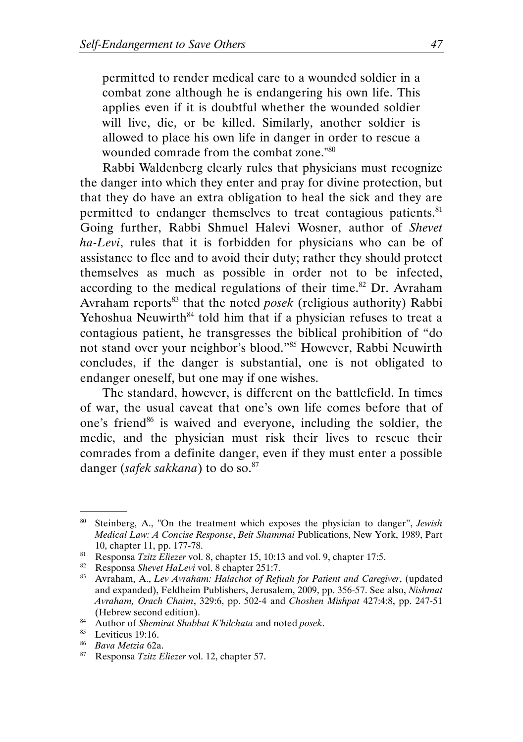permitted to render medical care to a wounded soldier in a combat zone although he is endangering his own life. This applies even if it is doubtful whether the wounded soldier will live, die, or be killed. Similarly, another soldier is allowed to place his own life in danger in order to rescue a wounded comrade from the combat zone."<sup>80</sup>

Rabbi Waldenberg clearly rules that physicians must recognize the danger into which they enter and pray for divine protection, but that they do have an extra obligation to heal the sick and they are permitted to endanger themselves to treat contagious patients.<sup>81</sup> Going further, Rabbi Shmuel Halevi Wosner, author of Shevet ha-Levi, rules that it is forbidden for physicians who can be of assistance to flee and to avoid their duty; rather they should protect themselves as much as possible in order not to be infected, according to the medical regulations of their time.<sup>82</sup> Dr. Avraham Avraham reports<sup>83</sup> that the noted *posek* (religious authority) Rabbi Yehoshua Neuwirth $84$  told him that if a physician refuses to treat a contagious patient, he transgresses the biblical prohibition of "do not stand over your neighbor's blood."<sup>85</sup> However, Rabbi Neuwirth concludes, if the danger is substantial, one is not obligated to endanger oneself, but one may if one wishes.

The standard, however, is different on the battlefield. In times of war, the usual caveat that one's own life comes before that of one's friend<sup>86</sup> is waived and everyone, including the soldier, the medic, and the physician must risk their lives to rescue their comrades from a definite danger, even if they must enter a possible danger (safek sakkana) to do so. $87$ 

<sup>&</sup>lt;sup>80</sup> Steinberg, A., "On the treatment which exposes the physician to danger", Jewish Medical Law: A Concise Response, Beit Shammai Publications, New York, 1989, Part 10, chapter 11, pp. 177-78.

<sup>&</sup>lt;sup>81</sup> Responsa Tzitz Eliezer vol. 8, chapter 15, 10:13 and vol. 9, chapter 17:5.

<sup>&</sup>lt;sup>82</sup> Responsa Shevet HaLevi vol. 8 chapter 251:7.

<sup>83</sup> Avraham, A., Lev Avraham: Halachot of Refuah for Patient and Caregiver, (updated and expanded), Feldheim Publishers, Jerusalem, 2009, pp. 356-57. See also, Nishmat Avraham, Orach Chaim, 329:6, pp. 502-4 and Choshen Mishpat 427:4:8, pp. 247-51 (Hebrew second edition).

<sup>84</sup> Author of Shemirat Shabbat K'hilchata and noted posek.

<sup>85</sup> Leviticus 19:16.

<sup>86</sup> Bava Metzia 62a.

<sup>87</sup> Responsa Tzitz Eliezer vol. 12, chapter 57.